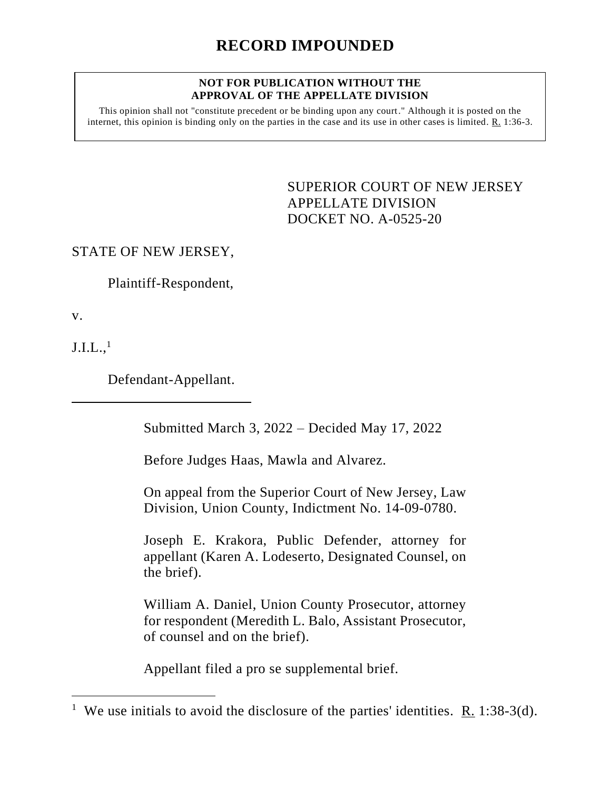### **NOT FOR PUBLICATION WITHOUT THE APPROVAL OF THE APPELLATE DIVISION**

This opinion shall not "constitute precedent or be binding upon any court." Although it is posted on the internet, this opinion is binding only on the parties in the case and its use in other cases is limited. R. 1:36-3.

> <span id="page-0-0"></span>SUPERIOR COURT OF NEW JERSEY APPELLATE DIVISION DOCKET NO. A-0525-20

STATE OF NEW JERSEY,

Plaintiff-Respondent,

v.

 $\mathrm{J.I.L.},^1$ 

Defendant-Appellant.

Submitted March 3, 2022 – Decided May 17, 2022

Before Judges Haas, Mawla and Alvarez.

On appeal from the Superior Court of New Jersey, Law Division, Union County, Indictment No. 14-09-0780.

Joseph E. Krakora, Public Defender, attorney for appellant (Karen A. Lodeserto, Designated Counsel, on the brief).

William A. Daniel, Union County Prosecutor, attorney for respondent (Meredith L. Balo, Assistant Prosecutor, of counsel and on the brief).

Appellant filed a pro se supplemental brief.

<sup>&</sup>lt;sup>1</sup> We use initials to avoid the disclosure of the parties' identities. <u>R.</u> 1:38-3(d).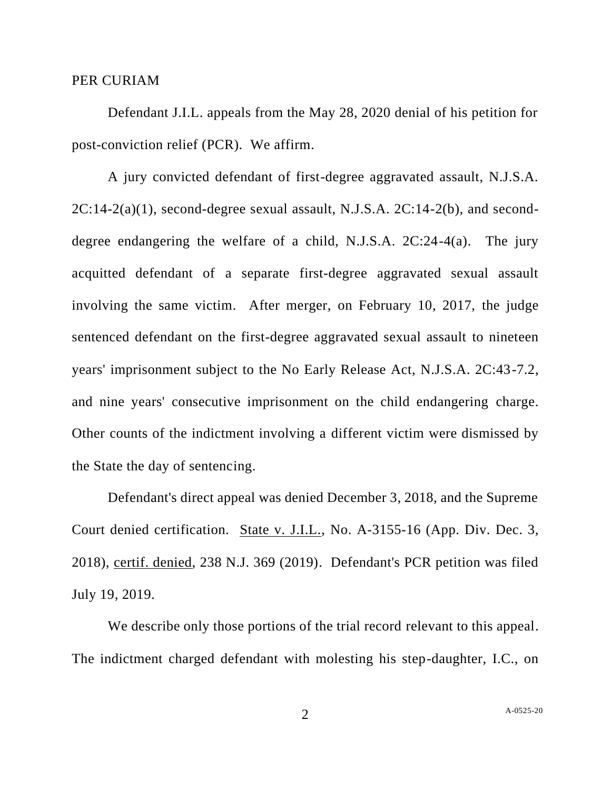### PER CURIAM

Defendant J.I.L. appeals from the May 28, 2020 denial of his petition for post-conviction relief (PCR). We affirm.

A jury convicted defendant of first-degree aggravated assault, N.J.S.A.  $2C:14-2(a)(1)$ , second-degree sexual assault, N.J.S.A.  $2C:14-2(b)$ , and seconddegree endangering the welfare of a child, N.J.S.A. 2C:24-4(a). The jury acquitted defendant of a separate first-degree aggravated sexual assault involving the same victim. After merger, on February 10, 2017, the judge sentenced defendant on the first-degree aggravated sexual assault to nineteen years' imprisonment subject to the No Early Release Act, N.J.S.A. 2C:43-7.2, and nine years' consecutive imprisonment on the child endangering charge. Other counts of the indictment involving a different victim were dismissed by the State the day of sentencing.

Defendant's direct appeal was denied December 3, 2018, and the Supreme Court denied certification. State v. J.I.L., No. A-3155-16 (App. Div. Dec. 3, 2018), certif. denied, 238 N.J. 369 (2019). Defendant's PCR petition was filed July 19, 2019.

We describe only those portions of the trial record relevant to this appeal. The indictment charged defendant with molesting his step-daughter, I.C., on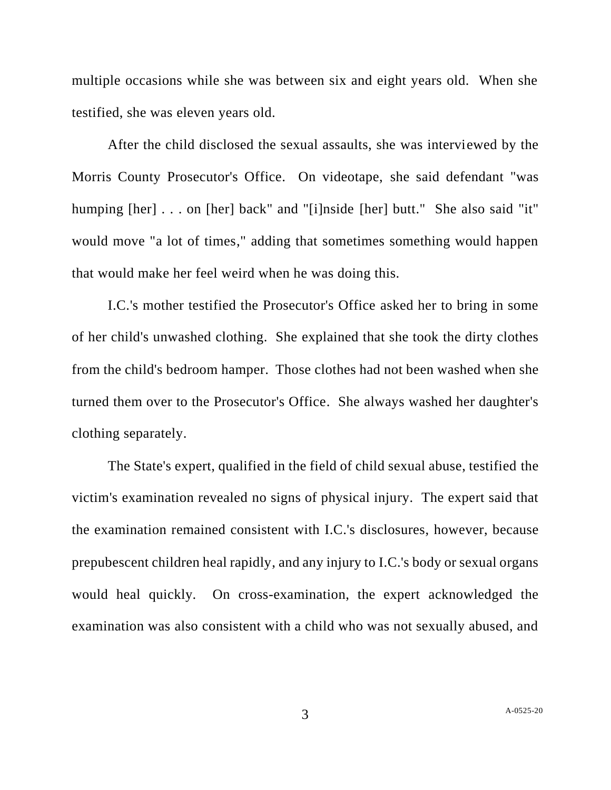multiple occasions while she was between six and eight years old. When she testified, she was eleven years old.

After the child disclosed the sexual assaults, she was interviewed by the Morris County Prosecutor's Office. On videotape, she said defendant "was humping [her] . . . on [her] back" and "[i]nside [her] butt." She also said "it" would move "a lot of times," adding that sometimes something would happen that would make her feel weird when he was doing this.

I.C.'s mother testified the Prosecutor's Office asked her to bring in some of her child's unwashed clothing. She explained that she took the dirty clothes from the child's bedroom hamper. Those clothes had not been washed when she turned them over to the Prosecutor's Office. She always washed her daughter's clothing separately.

The State's expert, qualified in the field of child sexual abuse, testified the victim's examination revealed no signs of physical injury. The expert said that the examination remained consistent with I.C.'s disclosures, however, because prepubescent children heal rapidly, and any injury to I.C.'s body or sexual organs would heal quickly. On cross-examination, the expert acknowledged the examination was also consistent with a child who was not sexually abused, and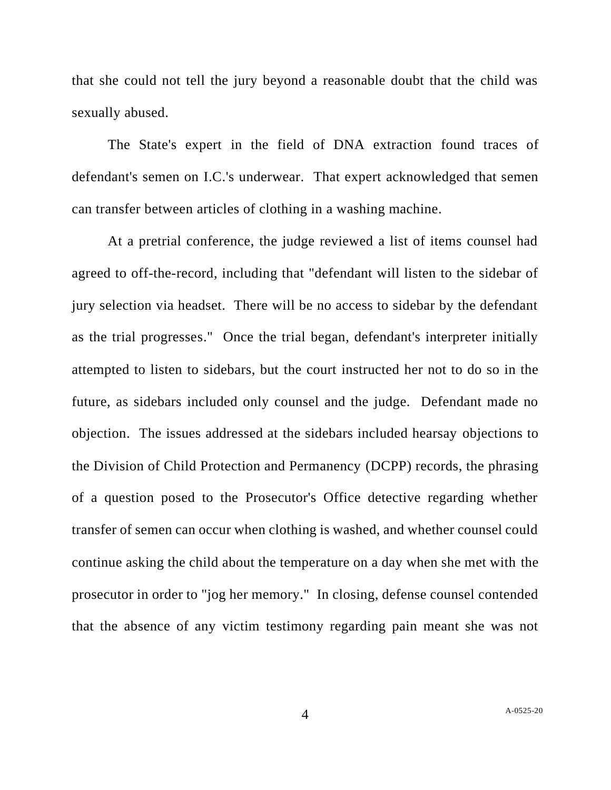that she could not tell the jury beyond a reasonable doubt that the child was sexually abused.

The State's expert in the field of DNA extraction found traces of defendant's semen on I.C.'s underwear. That expert acknowledged that semen can transfer between articles of clothing in a washing machine.

At a pretrial conference, the judge reviewed a list of items counsel had agreed to off-the-record, including that "defendant will listen to the sidebar of jury selection via headset. There will be no access to sidebar by the defendant as the trial progresses." Once the trial began, defendant's interpreter initially attempted to listen to sidebars, but the court instructed her not to do so in the future, as sidebars included only counsel and the judge. Defendant made no objection. The issues addressed at the sidebars included hearsay objections to the Division of Child Protection and Permanency (DCPP) records, the phrasing of a question posed to the Prosecutor's Office detective regarding whether transfer of semen can occur when clothing is washed, and whether counsel could continue asking the child about the temperature on a day when she met with the prosecutor in order to "jog her memory." In closing, defense counsel contended that the absence of any victim testimony regarding pain meant she was not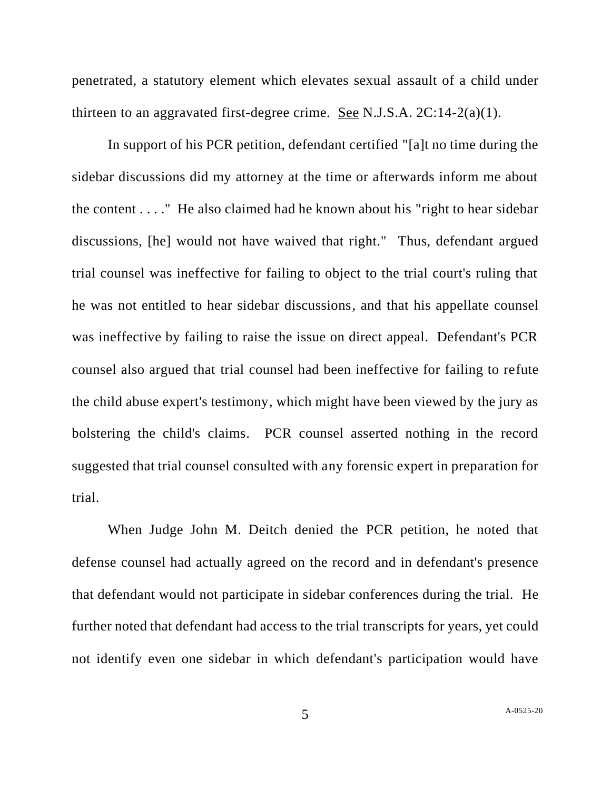penetrated, a statutory element which elevates sexual assault of a child under thirteen to an aggravated first-degree crime. See N.J.S.A. 2C:14-2(a)(1).

In support of his PCR petition, defendant certified "[a]t no time during the sidebar discussions did my attorney at the time or afterwards inform me about the content . . . ." He also claimed had he known about his "right to hear sidebar discussions, [he] would not have waived that right." Thus, defendant argued trial counsel was ineffective for failing to object to the trial court's ruling that he was not entitled to hear sidebar discussions, and that his appellate counsel was ineffective by failing to raise the issue on direct appeal. Defendant's PCR counsel also argued that trial counsel had been ineffective for failing to refute the child abuse expert's testimony, which might have been viewed by the jury as bolstering the child's claims. PCR counsel asserted nothing in the record suggested that trial counsel consulted with any forensic expert in preparation for trial.

When Judge John M. Deitch denied the PCR petition, he noted that defense counsel had actually agreed on the record and in defendant's presence that defendant would not participate in sidebar conferences during the trial. He further noted that defendant had access to the trial transcripts for years, yet could not identify even one sidebar in which defendant's participation would have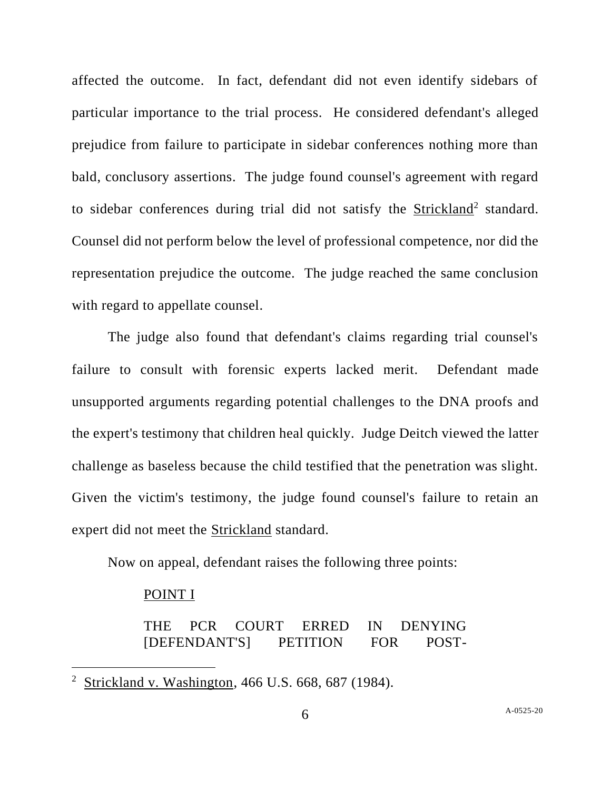affected the outcome. In fact, defendant did not even identify sidebars of particular importance to the trial process. He considered defendant's alleged prejudice from failure to participate in sidebar conferences nothing more than bald, conclusory assertions. The judge found counsel's agreement with regard to sidebar conferences during trial did not satisfy the **Strickland**<sup>2</sup> standard. Counsel did not perform below the level of professional competence, nor did the representation prejudice the outcome. The judge reached the same conclusion with regard to appellate counsel.

The judge also found that defendant's claims regarding trial counsel's failure to consult with forensic experts lacked merit. Defendant made unsupported arguments regarding potential challenges to the DNA proofs and the expert's testimony that children heal quickly. Judge Deitch viewed the latter challenge as baseless because the child testified that the penetration was slight. Given the victim's testimony, the judge found counsel's failure to retain an expert did not meet the Strickland standard.

Now on appeal, defendant raises the following three points:

## POINT I

THE PCR COURT ERRED IN DENYING [DEFENDANT'S] PETITION FOR POST-

<sup>&</sup>lt;sup>2</sup> Strickland v. Washington, 466 U.S. 668, 687 (1984).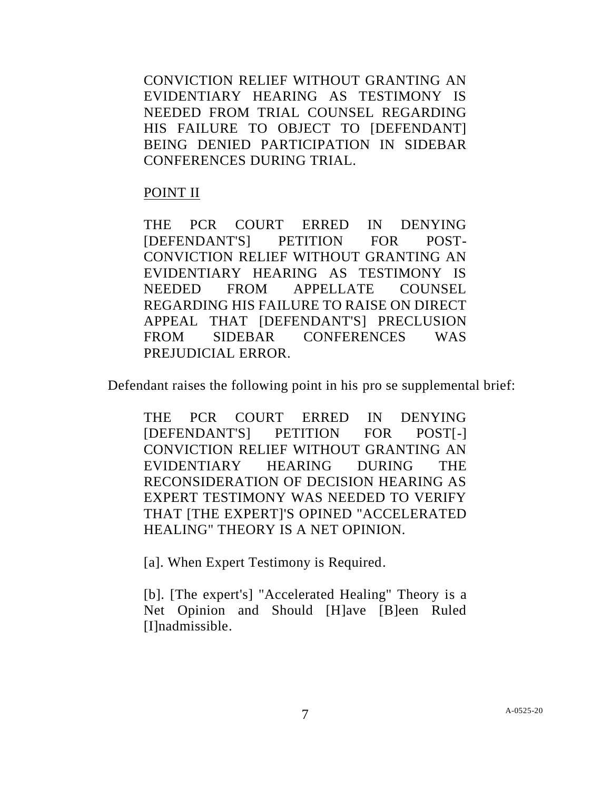CONVICTION RELIEF WITHOUT GRANTING AN EVIDENTIARY HEARING AS TESTIMONY IS NEEDED FROM TRIAL COUNSEL REGARDING HIS FAILURE TO OBJECT TO [DEFENDANT] BEING DENIED PARTICIPATION IN SIDEBAR CONFERENCES DURING TRIAL.

# POINT II

THE PCR COURT ERRED IN DENYING [DEFENDANT'S] PETITION FOR POST-CONVICTION RELIEF WITHOUT GRANTING AN EVIDENTIARY HEARING AS TESTIMONY IS NEEDED FROM APPELLATE COUNSEL REGARDING HIS FAILURE TO RAISE ON DIRECT APPEAL THAT [DEFENDANT'S] PRECLUSION FROM SIDEBAR CONFERENCES WAS PREJUDICIAL ERROR.

Defendant raises the following point in his pro se supplemental brief:

THE PCR COURT ERRED IN DENYING [DEFENDANT'S] PETITION FOR POST[-] CONVICTION RELIEF WITHOUT GRANTING AN EVIDENTIARY HEARING DURING THE RECONSIDERATION OF DECISION HEARING AS EXPERT TESTIMONY WAS NEEDED TO VERIFY THAT [THE EXPERT]'S OPINED "ACCELERATED HEALING" THEORY IS A NET OPINION.

[a]. When Expert Testimony is Required.

[b]. [The expert's] "Accelerated Healing" Theory is a Net Opinion and Should [H]ave [B]een Ruled [I]nadmissible.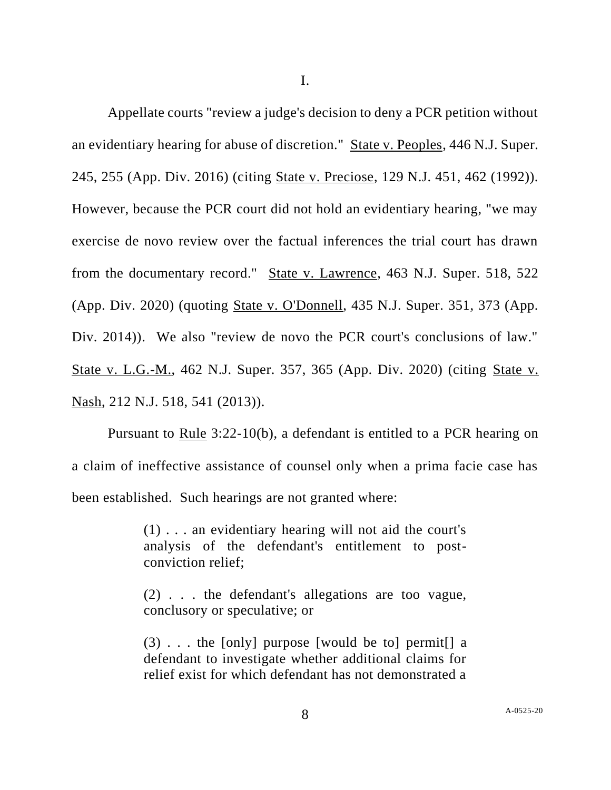I.

Appellate courts "review a judge's decision to deny a PCR petition without an evidentiary hearing for abuse of discretion." State v. Peoples, 446 N.J. Super. 245, 255 (App. Div. 2016) (citing State v. Preciose, 129 N.J. 451, 462 (1992)). However, because the PCR court did not hold an evidentiary hearing, "we may exercise de novo review over the factual inferences the trial court has drawn from the documentary record." State v. Lawrence, 463 N.J. Super. 518, 522 (App. Div. 2020) (quoting State v. O'Donnell, 435 N.J. Super. 351, 373 (App. Div. 2014)). We also "review de novo the PCR court's conclusions of law." State v. L.G.-M., 462 N.J. Super. 357, 365 (App. Div. 2020) (citing State v. Nash, 212 N.J. 518, 541 (2013)).

Pursuant to Rule 3:22-10(b), a defendant is entitled to a PCR hearing on a claim of ineffective assistance of counsel only when a prima facie case has been established. Such hearings are not granted where:

> (1) . . . an evidentiary hearing will not aid the court's analysis of the defendant's entitlement to postconviction relief;

> (2) . . . the defendant's allegations are too vague, conclusory or speculative; or

> (3) . . . the [only] purpose [would be to] permit[] a defendant to investigate whether additional claims for relief exist for which defendant has not demonstrated a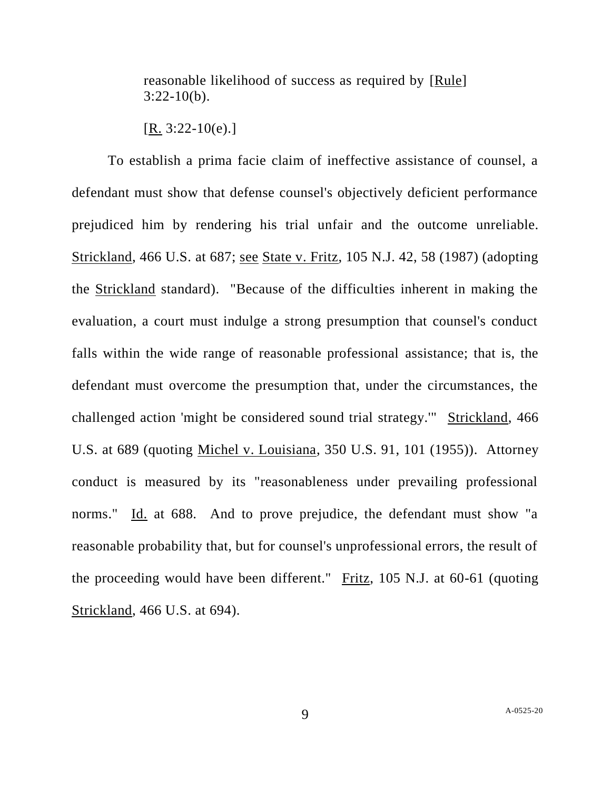reasonable likelihood of success as required by [Rule] 3:22-10(b).

To establish a prima facie claim of ineffective assistance of counsel, a defendant must show that defense counsel's objectively deficient performance prejudiced him by rendering his trial unfair and the outcome unreliable. Strickland, 466 U.S. at 687; see State v. Fritz, 105 N.J. 42, 58 (1987) (adopting the Strickland standard). "Because of the difficulties inherent in making the evaluation, a court must indulge a strong presumption that counsel's conduct falls within the wide range of reasonable professional assistance; that is, the defendant must overcome the presumption that, under the circumstances, the challenged action 'might be considered sound trial strategy.'" Strickland, 466 U.S. at 689 (quoting Michel v. Louisiana, 350 U.S. 91, 101 (1955)). Attorney conduct is measured by its "reasonableness under prevailing professional norms." Id. at 688. And to prove prejudice, the defendant must show "a reasonable probability that, but for counsel's unprofessional errors, the result of the proceeding would have been different." Fritz, 105 N.J. at 60-61 (quoting Strickland, 466 U.S. at 694).

 $[R. 3:22-10(e).]$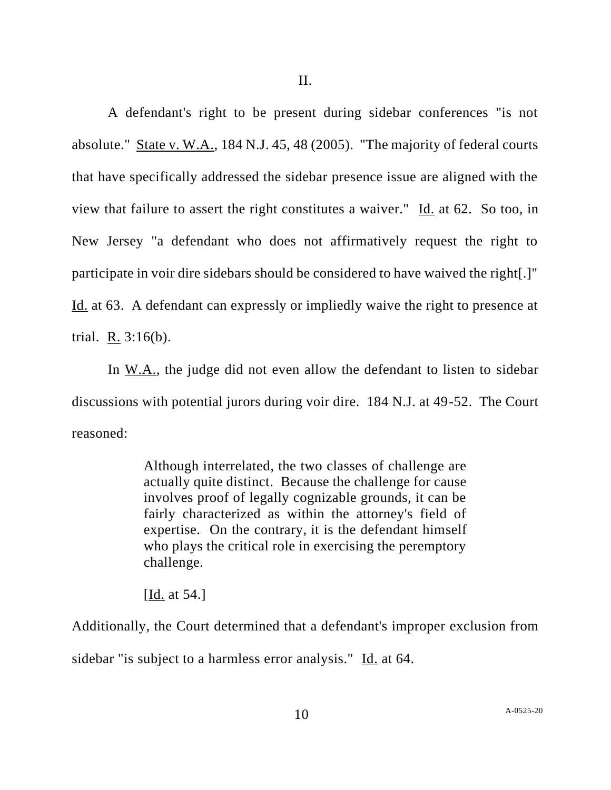A defendant's right to be present during sidebar conferences "is not absolute." State v. W.A., 184 N.J. 45, 48 (2005). "The majority of federal courts that have specifically addressed the sidebar presence issue are aligned with the view that failure to assert the right constitutes a waiver." Id. at 62. So too, in New Jersey "a defendant who does not affirmatively request the right to participate in voir dire sidebars should be considered to have waived the right[.]" Id. at 63. A defendant can expressly or impliedly waive the right to presence at trial. R. 3:16(b).

In W.A., the judge did not even allow the defendant to listen to sidebar discussions with potential jurors during voir dire. 184 N.J. at 49-52. The Court reasoned:

> Although interrelated, the two classes of challenge are actually quite distinct. Because the challenge for cause involves proof of legally cognizable grounds, it can be fairly characterized as within the attorney's field of expertise. On the contrary, it is the defendant himself who plays the critical role in exercising the peremptory challenge.

[Id. at 54.]

Additionally, the Court determined that a defendant's improper exclusion from sidebar "is subject to a harmless error analysis." Id. at 64.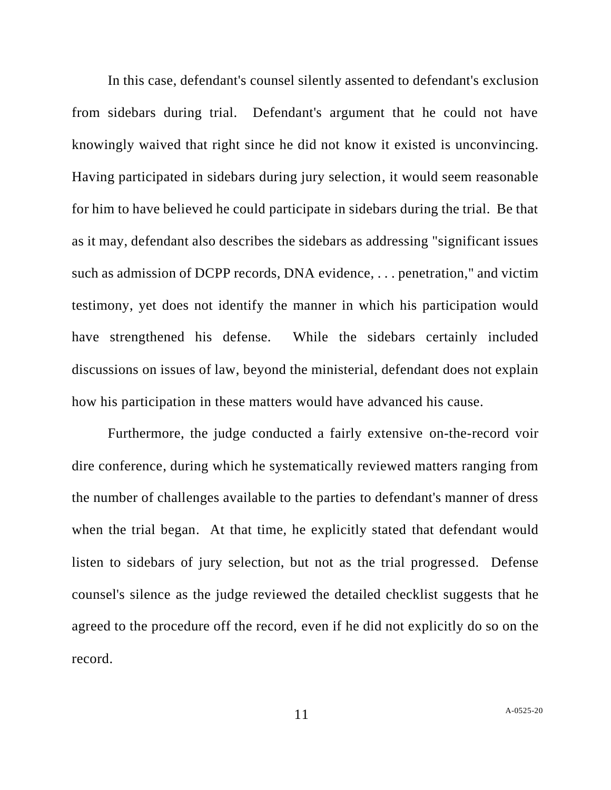In this case, defendant's counsel silently assented to defendant's exclusion from sidebars during trial. Defendant's argument that he could not have knowingly waived that right since he did not know it existed is unconvincing. Having participated in sidebars during jury selection, it would seem reasonable for him to have believed he could participate in sidebars during the trial. Be that as it may, defendant also describes the sidebars as addressing "significant issues such as admission of DCPP records, DNA evidence, . . . penetration," and victim testimony, yet does not identify the manner in which his participation would have strengthened his defense. While the sidebars certainly included discussions on issues of law, beyond the ministerial, defendant does not explain how his participation in these matters would have advanced his cause.

Furthermore, the judge conducted a fairly extensive on-the-record voir dire conference, during which he systematically reviewed matters ranging from the number of challenges available to the parties to defendant's manner of dress when the trial began. At that time, he explicitly stated that defendant would listen to sidebars of jury selection, but not as the trial progressed. Defense counsel's silence as the judge reviewed the detailed checklist suggests that he agreed to the procedure off the record, even if he did not explicitly do so on the record.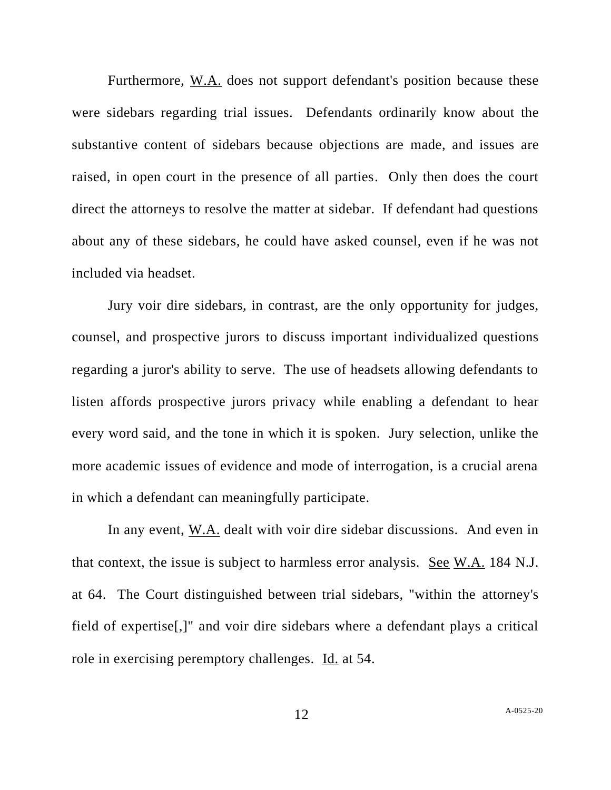Furthermore, W.A. does not support defendant's position because these were sidebars regarding trial issues. Defendants ordinarily know about the substantive content of sidebars because objections are made, and issues are raised, in open court in the presence of all parties. Only then does the court direct the attorneys to resolve the matter at sidebar. If defendant had questions about any of these sidebars, he could have asked counsel, even if he was not included via headset.

Jury voir dire sidebars, in contrast, are the only opportunity for judges, counsel, and prospective jurors to discuss important individualized questions regarding a juror's ability to serve. The use of headsets allowing defendants to listen affords prospective jurors privacy while enabling a defendant to hear every word said, and the tone in which it is spoken. Jury selection, unlike the more academic issues of evidence and mode of interrogation, is a crucial arena in which a defendant can meaningfully participate.

In any event, W.A. dealt with voir dire sidebar discussions. And even in that context, the issue is subject to harmless error analysis. See  $W.A.$  184 N.J. at 64. The Court distinguished between trial sidebars, "within the attorney's field of expertise[,]" and voir dire sidebars where a defendant plays a critical role in exercising peremptory challenges. Id. at 54.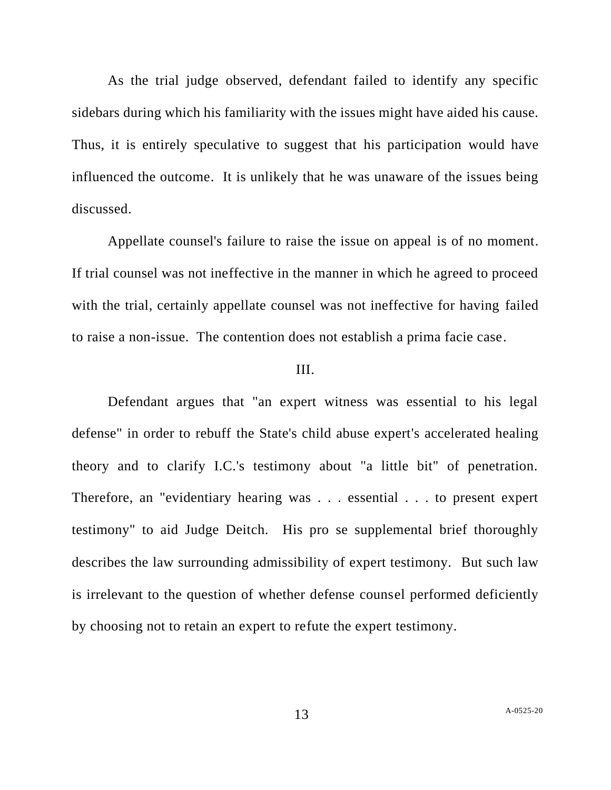As the trial judge observed, defendant failed to identify any specific sidebars during which his familiarity with the issues might have aided his cause. Thus, it is entirely speculative to suggest that his participation would have influenced the outcome. It is unlikely that he was unaware of the issues being discussed.

Appellate counsel's failure to raise the issue on appeal is of no moment. If trial counsel was not ineffective in the manner in which he agreed to proceed with the trial, certainly appellate counsel was not ineffective for having failed to raise a non-issue. The contention does not establish a prima facie case.

## III.

Defendant argues that "an expert witness was essential to his legal defense" in order to rebuff the State's child abuse expert's accelerated healing theory and to clarify I.C.'s testimony about "a little bit" of penetration. Therefore, an "evidentiary hearing was . . . essential . . . to present expert testimony" to aid Judge Deitch. His pro se supplemental brief thoroughly describes the law surrounding admissibility of expert testimony. But such law is irrelevant to the question of whether defense counsel performed deficiently by choosing not to retain an expert to refute the expert testimony.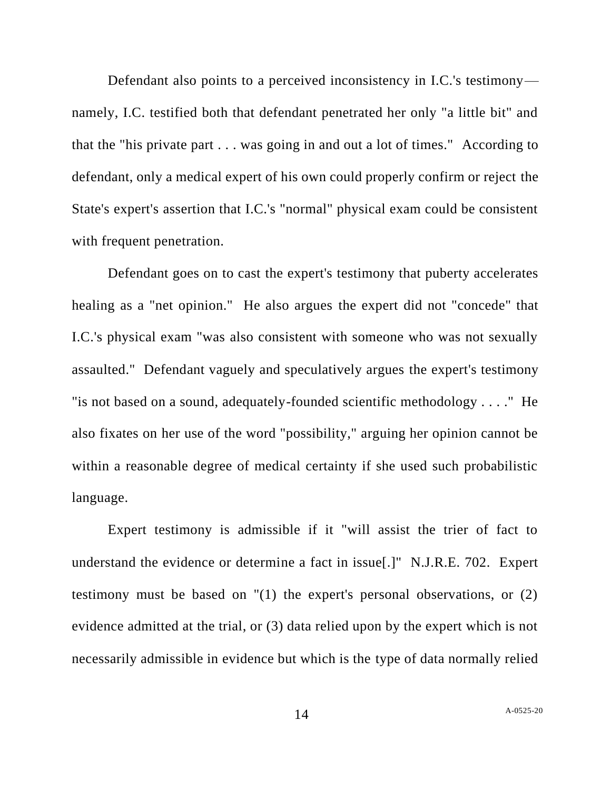Defendant also points to a perceived inconsistency in I.C.'s testimony namely, I.C. testified both that defendant penetrated her only "a little bit" and that the "his private part . . . was going in and out a lot of times." According to defendant, only a medical expert of his own could properly confirm or reject the State's expert's assertion that I.C.'s "normal" physical exam could be consistent with frequent penetration.

Defendant goes on to cast the expert's testimony that puberty accelerates healing as a "net opinion." He also argues the expert did not "concede" that I.C.'s physical exam "was also consistent with someone who was not sexually assaulted." Defendant vaguely and speculatively argues the expert's testimony "is not based on a sound, adequately-founded scientific methodology . . . ." He also fixates on her use of the word "possibility," arguing her opinion cannot be within a reasonable degree of medical certainty if she used such probabilistic language.

Expert testimony is admissible if it "will assist the trier of fact to understand the evidence or determine a fact in issue[.]" N.J.R.E. 702. Expert testimony must be based on "(1) the expert's personal observations, or (2) evidence admitted at the trial, or (3) data relied upon by the expert which is not necessarily admissible in evidence but which is the type of data normally relied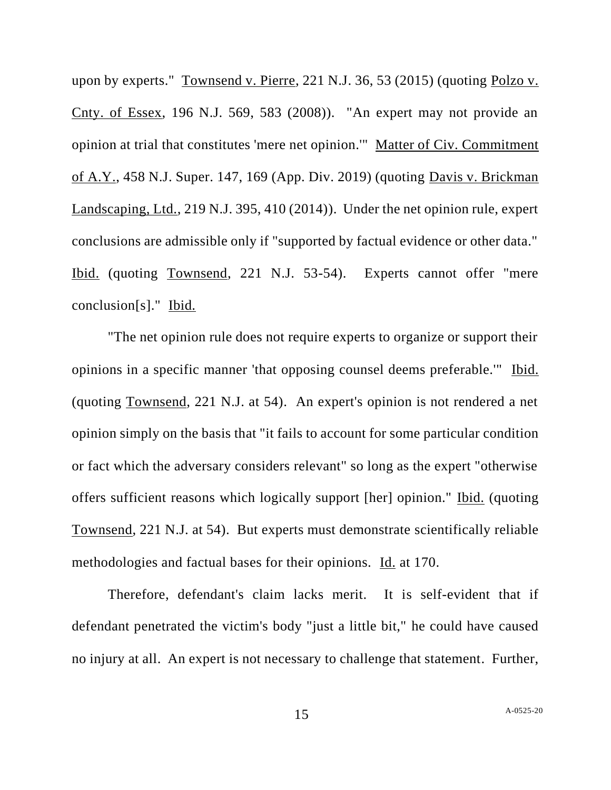upon by experts." Townsend v. Pierre, 221 N.J. 36, 53 (2015) (quoting Polzo v. Cnty. of Essex, 196 N.J. 569, 583 (2008)). "An expert may not provide an opinion at trial that constitutes 'mere net opinion.'" Matter of Civ. Commitment of A.Y., 458 N.J. Super. 147, 169 (App. Div. 2019) (quoting Davis v. Brickman Landscaping, Ltd., 219 N.J. 395, 410 (2014)). Under the net opinion rule, expert conclusions are admissible only if "supported by factual evidence or other data." Ibid. (quoting Townsend, 221 N.J. 53-54). Experts cannot offer "mere conclusion[s]." Ibid.

"The net opinion rule does not require experts to organize or support their opinions in a specific manner 'that opposing counsel deems preferable.'" Ibid. (quoting Townsend, 221 N.J. at 54). An expert's opinion is not rendered a net opinion simply on the basis that "it fails to account for some particular condition or fact which the adversary considers relevant" so long as the expert "otherwise offers sufficient reasons which logically support [her] opinion." Ibid. (quoting Townsend, 221 N.J. at 54). But experts must demonstrate scientifically reliable methodologies and factual bases for their opinions. Id. at 170.

Therefore, defendant's claim lacks merit. It is self-evident that if defendant penetrated the victim's body "just a little bit," he could have caused no injury at all. An expert is not necessary to challenge that statement. Further,